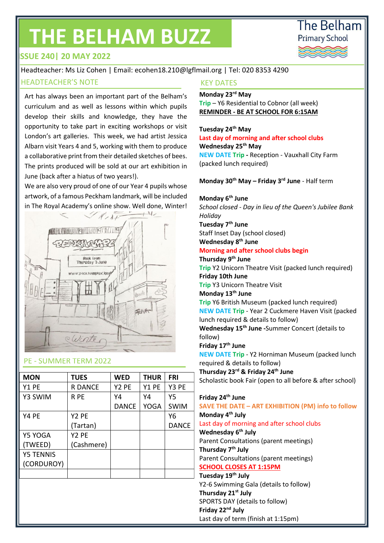# **THE BELHAM BUZZ**



# **ISSUE 240| 20 MAY 2022**

# Headteacher: Ms Liz Cohen | Email: ecohen18.210@lgflmail.org | Tel: 020 8353 4290

#### HEADTEACHER'S NOTE THE CONTROLLER WAS ARRESTED FOR THE REPORTED THE REPORT OF THE REPORT OF THE REPORT OF THE R

Art has always been an important part of the Belham's curriculum and as well as lessons within which pupils develop their skills and knowledge, they have the opportunity to take part in exciting workshops or visit London's art galleries. This week, we had artist Jessica Albarn visit Years 4 and 5, working with them to produce a collaborative print from their detailed sketches of bees. The prints produced will be sold at our art exhibition in June (back after a hiatus of two years!).

We are also very proud of one of our Year 4 pupils whose artwork, of a famous Peckham landmark, will be included in The Royal Academy's online show. Well done, Winter!



#### PE - SUMMER TERM 2022

| <b>MON</b>       | <b>TUES</b>       | <b>WED</b>   | <b>THUR</b> | <b>FRI</b>   |
|------------------|-------------------|--------------|-------------|--------------|
| Y1 PE            | <b>R DANCE</b>    | Y2 PE        | Y1 PE       | Y3 PE        |
| Y3 SWIM          | R PE              | Y4           | Y4          | Υ5           |
|                  |                   | <b>DANCE</b> | <b>YOGA</b> | <b>SWIM</b>  |
| Y4 PE            | Y2 PE             |              |             | Υ6           |
|                  | (Tartan)          |              |             | <b>DANCE</b> |
| Y5 YOGA          | Y <sub>2</sub> PE |              |             |              |
| (TWEED)          | (Cashmere)        |              |             |              |
| <b>Y5 TENNIS</b> |                   |              |             |              |
| (CORDUROY)       |                   |              |             |              |
|                  |                   |              |             |              |

# **Monday 23rd May**

**Trip** – Y6 Residential to Cobnor (all week) **REMINDER - BE AT SCHOOL FOR 6:15AM**

#### **Tuesday 24th May**

**Last day of morning and after school clubs Wednesday 25th May NEW DATE Trip -** Reception - Vauxhall City Farm (packed lunch required)

**Monday 30th May – Friday 3rd June** - Half term

#### **Monday 6th June**

*School closed - Day in lieu of the Queen's Jubilee Bank Holiday* **Tuesday 7th June**

Staff Inset Day (school closed) **Wednesday 8th June** 

**Morning and after school clubs begin**

#### **Thursday 9th June**

**Trip** Y2 Unicorn Theatre Visit (packed lunch required) **Friday 10th June Trip** Y3 Unicorn Theatre Visit

**Monday 13th June**

**Trip** Y6 British Museum (packed lunch required) **NEW DATE Trip** - Year 2 Cuckmere Haven Visit (packed lunch required & details to follow) **Wednesday 15th June -**Summer Concert (details to follow)

**Friday 17th June** 

**NEW DATE Trip** - Y2 Horniman Museum (packed lunch required & details to follow)

**Thursday 23rd & Friday 24th June**  Scholastic book Fair (open to all before & after school)

#### **Friday 24th June**

**SAVE THE DATE – ART EXHIBITION (PM) info to follow Monday 4th July**  Last day of morning and after school clubs **Wednesday 6th July** Parent Consultations (parent meetings) **Thursday 7th July**  Parent Consultations (parent meetings) **SCHOOL CLOSES AT 1:15PM Tuesday 19th July** Y2-6 Swimming Gala (details to follow) **Thursday 21st July** SPORTS DAY (details to follow) **Friday 22nd July** Last day of term (finish at 1:15pm)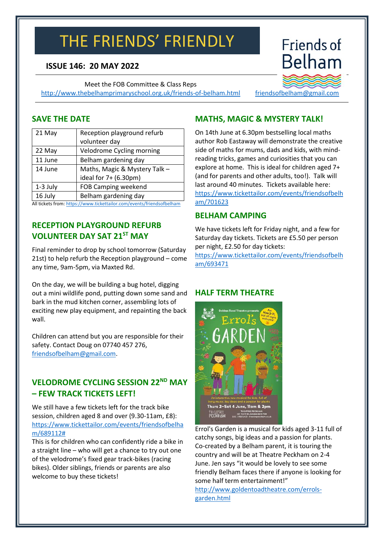# THE FRIENDS' FRIENDLY

# **ISSUE 146: 20 MAY 2022**

Meet the FOB Committee & Class Reps <http://www.thebelhamprimaryschool.org.uk/friends-of-belham.html>

# **MATHS, MAGIC & MYSTERY TALK!**

On 14th June at 6.30pm bestselling local maths author Rob Eastaway will demonstrate the creative side of maths for mums, dads and kids, with mindreading tricks, games and curiosities that you can explore at home. This is ideal for children aged 7+ (and for parents and other adults, too!). Talk will last around 40 minutes. Tickets available here: [https://www.tickettailor.com/events/friendsofbelh](https://www.tickettailor.com/events/friendsofbelham/701623) [am/701623](https://www.tickettailor.com/events/friendsofbelham/701623)

### **BELHAM CAMPING**

We have tickets left for Friday night, and a few for Saturday day tickets. Tickets are £5.50 per person per night, £2.50 for day tickets:

[https://www.tickettailor.com/events/friendsofbelh](https://www.tickettailor.com/events/friendsofbelham/693471) [am/693471](https://www.tickettailor.com/events/friendsofbelham/693471)

# **HALF TERM THEATRE**

Thurs 2-Sat 4 June, Tlam & 2pm THEATRE PECKHAM<br>PECKHAM D221 Hovil St, London SES 758<br>PECKHAM D20 7708 5401 - theotrepeckham on I Errol's Garden is a musical for kids aged 3-11 full of

catchy songs, big ideas and a passion for plants. Co-created by a Belham parent, it is touring the country and will be at Theatre Peckham on 2-4 June. Jen says "it would be lovely to see some friendly Belham faces there if anyone is looking for some half term entertainment!"

[http://www.goldentoadtheatre.com/errols](http://www.goldentoadtheatre.com/errols-garden.html)[garden.html](http://www.goldentoadtheatre.com/errols-garden.html)

## **SAVE THE DATE**

| 21 May   | Reception playground refurb<br>volunteer day |  |
|----------|----------------------------------------------|--|
| 22 May   | Velodrome Cycling morning                    |  |
| 11 June  | Belham gardening day                         |  |
| 14 June  | Maths, Magic & Mystery Talk -                |  |
|          | ideal for 7+ (6.30pm)                        |  |
| 1-3 July | <b>FOB Camping weekend</b>                   |  |
| 16 July  | Belham gardening day                         |  |

All tickets from[: https://www.tickettailor.com/events/friendsofbelham](https://www.tickettailor.com/events/friendsofbelham)

# **RECEPTION PLAYGROUND REFURB VOLUNTEER DAY SAT 21ST MAY**

Final reminder to drop by school tomorrow (Saturday 21st) to help refurb the Reception playground – come any time, 9am-5pm, via Maxted Rd.

On the day, we will be building a bug hotel, digging out a mini wildlife pond, putting down some sand and bark in the mud kitchen corner, assembling lots of exciting new play equipment, and repainting the back wall.

Children can attend but you are responsible for their safety. Contact Doug on 07740 457 276, [friendsofbelham@gmail.com.](mailto:friendsofbelham@gmail.com)

# **VELODROME CYCLING SESSION 22ND MAY – FEW TRACK TICKETS LEFT!**

We still have a few tickets left for the track bike session, children aged 8 and over (9.30-11am, £8): [https://www.tickettailor.com/events/friendsofbelha](https://www.tickettailor.com/events/friendsofbelham/689112) [m/689112#](https://www.tickettailor.com/events/friendsofbelham/689112)

This is for children who can confidently ride a bike in a straight line – who will get a chance to try out one of the velodrome's fixed gear track-bikes (racing bikes). Older siblings, friends or parents are also welcome to buy these tickets!